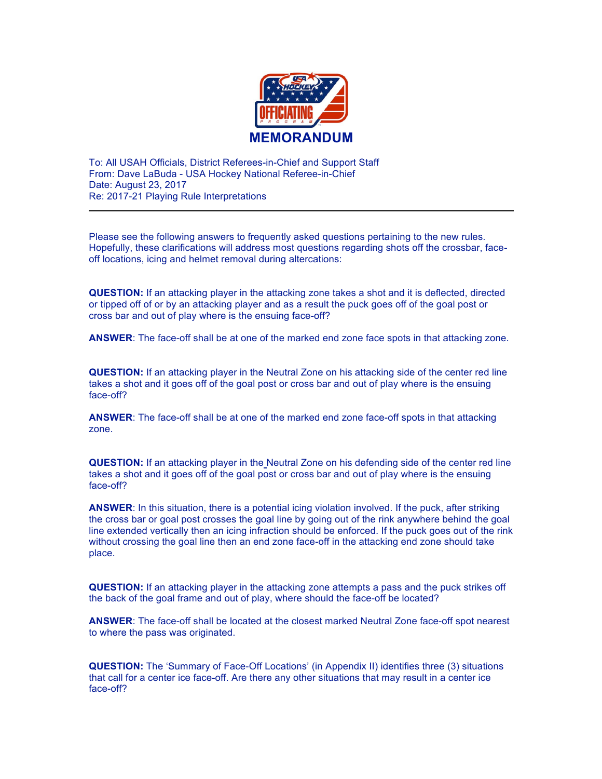

To: All USAH Officials, District Referees-in-Chief and Support Staff From: Dave LaBuda - USA Hockey National Referee-in-Chief Date: August 23, 2017 Re: 2017-21 Playing Rule Interpretations

Please see the following answers to frequently asked questions pertaining to the new rules. Hopefully, these clarifications will address most questions regarding shots off the crossbar, faceoff locations, icing and helmet removal during altercations:

**QUESTION:** If an attacking player in the attacking zone takes a shot and it is deflected, directed or tipped off of or by an attacking player and as a result the puck goes off of the goal post or cross bar and out of play where is the ensuing face-off?

**ANSWER**: The face-off shall be at one of the marked end zone face spots in that attacking zone.

**QUESTION:** If an attacking player in the Neutral Zone on his attacking side of the center red line takes a shot and it goes off of the goal post or cross bar and out of play where is the ensuing face-off?

**ANSWER**: The face-off shall be at one of the marked end zone face-off spots in that attacking zone.

**QUESTION:** If an attacking player in the Neutral Zone on his defending side of the center red line takes a shot and it goes off of the goal post or cross bar and out of play where is the ensuing face-off?

**ANSWER**: In this situation, there is a potential icing violation involved. If the puck, after striking the cross bar or goal post crosses the goal line by going out of the rink anywhere behind the goal line extended vertically then an icing infraction should be enforced. If the puck goes out of the rink without crossing the goal line then an end zone face-off in the attacking end zone should take place.

**QUESTION:** If an attacking player in the attacking zone attempts a pass and the puck strikes off the back of the goal frame and out of play, where should the face-off be located?

**ANSWER**: The face-off shall be located at the closest marked Neutral Zone face-off spot nearest to where the pass was originated.

**QUESTION:** The 'Summary of Face-Off Locations' (in Appendix II) identifies three (3) situations that call for a center ice face-off. Are there any other situations that may result in a center ice face-off?